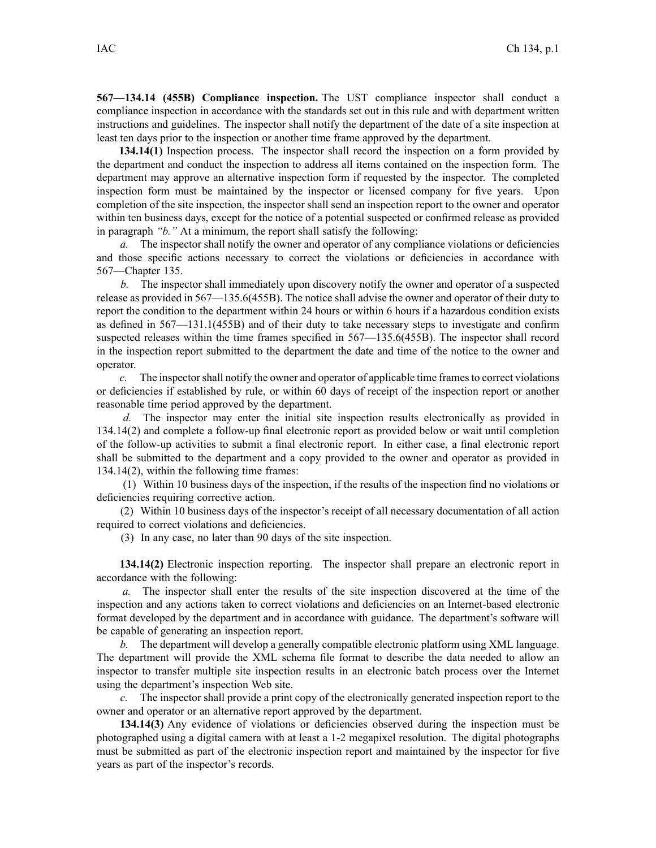**567—134.14 (455B) Compliance inspection.** The UST compliance inspector shall conduct <sup>a</sup> compliance inspection in accordance with the standards set out in this rule and with department written instructions and guidelines. The inspector shall notify the department of the date of <sup>a</sup> site inspection at least ten days prior to the inspection or another time frame approved by the department.

**134.14(1)** Inspection process. The inspector shall record the inspection on <sup>a</sup> form provided by the department and conduct the inspection to address all items contained on the inspection form. The department may approve an alternative inspection form if requested by the inspector. The completed inspection form must be maintained by the inspector or licensed company for five years. Upon completion of the site inspection, the inspector shall send an inspection repor<sup>t</sup> to the owner and operator within ten business days, excep<sup>t</sup> for the notice of <sup>a</sup> potential suspected or confirmed release as provided in paragraph *"b."* At <sup>a</sup> minimum, the repor<sup>t</sup> shall satisfy the following:

*a.* The inspector shall notify the owner and operator of any compliance violations or deficiencies and those specific actions necessary to correct the violations or deficiencies in accordance with 567—Chapter 135.

*b.* The inspector shall immediately upon discovery notify the owner and operator of <sup>a</sup> suspected release as provided in 567—135.6(455B). The notice shall advise the owner and operator of their duty to report the condition to the department within 24 hours or within 6 hours if a hazardous condition exists as defined in 567—131.1(455B) and of their duty to take necessary steps to investigate and confirm suspected releases within the time frames specified in 567—135.6(455B). The inspector shall record in the inspection repor<sup>t</sup> submitted to the department the date and time of the notice to the owner and operator.

*c.* The inspectorshall notify the owner and operator of applicable time framesto correct violations or deficiencies if established by rule, or within 60 days of receipt of the inspection repor<sup>t</sup> or another reasonable time period approved by the department.

*d.* The inspector may enter the initial site inspection results electronically as provided in 134.14(2) and complete <sup>a</sup> follow-up final electronic repor<sup>t</sup> as provided below or wait until completion of the follow-up activities to submit <sup>a</sup> final electronic report. In either case, <sup>a</sup> final electronic repor<sup>t</sup> shall be submitted to the department and <sup>a</sup> copy provided to the owner and operator as provided in 134.14(2), within the following time frames:

(1) Within 10 business days of the inspection, if the results of the inspection find no violations or deficiencies requiring corrective action.

(2) Within 10 business days of the inspector's receipt of all necessary documentation of all action required to correct violations and deficiencies.

(3) In any case, no later than 90 days of the site inspection.

**134.14(2)** Electronic inspection reporting. The inspector shall prepare an electronic repor<sup>t</sup> in accordance with the following:

*a.* The inspector shall enter the results of the site inspection discovered at the time of the inspection and any actions taken to correct violations and deficiencies on an Internet-based electronic format developed by the department and in accordance with guidance. The department's software will be capable of generating an inspection report.

*b.* The department will develop <sup>a</sup> generally compatible electronic platform using XML language. The department will provide the XML schema file format to describe the data needed to allow an inspector to transfer multiple site inspection results in an electronic batch process over the Internet using the department's inspection Web site.

*c.* The inspector shall provide <sup>a</sup> print copy of the electronically generated inspection repor<sup>t</sup> to the owner and operator or an alternative repor<sup>t</sup> approved by the department.

**134.14(3)** Any evidence of violations or deficiencies observed during the inspection must be photographed using <sup>a</sup> digital camera with at least <sup>a</sup> 1-2 megapixel resolution. The digital photographs must be submitted as par<sup>t</sup> of the electronic inspection repor<sup>t</sup> and maintained by the inspector for five years as par<sup>t</sup> of the inspector's records.